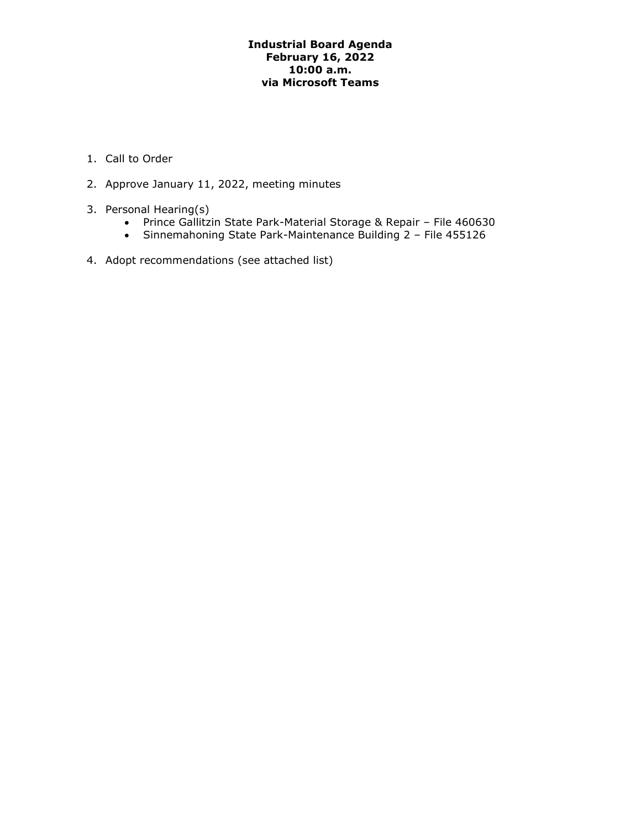### **Industrial Board Agenda February 16, 2022 10:00 a.m. via Microsoft Teams**

- 1. Call to Order
- 2. Approve January 11, 2022, meeting minutes
- 3. Personal Hearing(s)
	- Prince Gallitzin State Park-Material Storage & Repair File 460630
	- Sinnemahoning State Park-Maintenance Building 2 File 455126
- 4. Adopt recommendations (see attached list)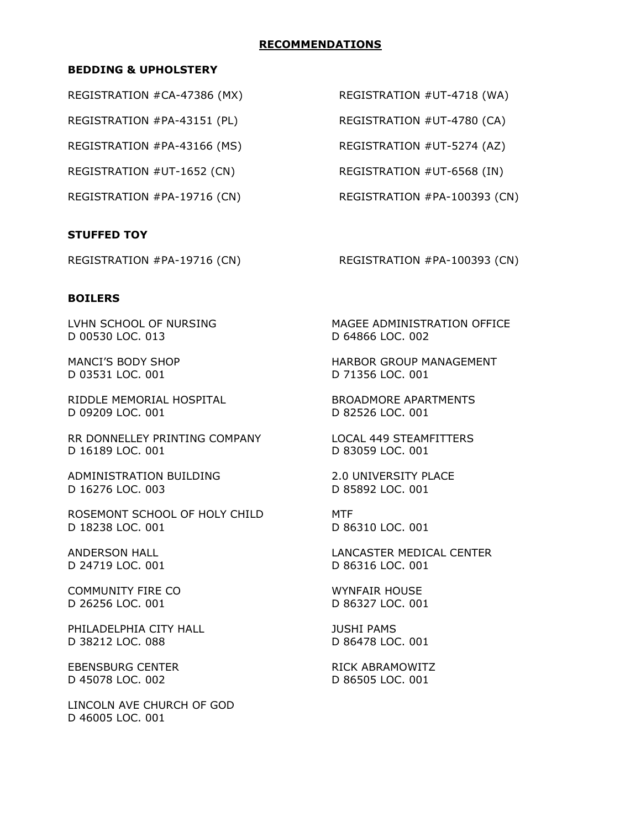#### **RECOMMENDATIONS**

#### **BEDDING & UPHOLSTERY**

REGISTRATION #CA-47386 (MX)

REGISTRATION #PA-43151 (PL)

REGISTRATION #PA-43166 (MS)

REGISTRATION #UT-1652 (CN)

## **STUFFED TOY**

REGISTRATION #UT-4718 (WA)

REGISTRATION #UT-4780 (CA)

REGISTRATION #UT-5274 (AZ)

REGISTRATION #UT-6568 (IN)

REGISTRATION #PA-19716 (CN) REGISTRATION #PA-100393 (CN)

REGISTRATION #PA-19716 (CN) REGISTRATION #PA-100393 (CN)

## **BOILERS**

D 00530 LOC. 013 D 64866 LOC. 002

D 03531 LOC. 001 D 71356 LOC. 001

RIDDLE MEMORIAL HOSPITAL BROADMORE APARTMENTS D 09209 LOC. 001 D 82526 LOC. 001

RR DONNELLEY PRINTING COMPANY LOCAL 449 STEAMFITTERS D 16189 LOC. 001 D 83059 LOC. 001

ADMINISTRATION BUILDING 2.0 UNIVERSITY PLACE D 16276 LOC. 003 D 85892 LOC. 001

ROSEMONT SCHOOL OF HOLY CHILD MTF D 18238 LOC. 001 D 86310 LOC. 001

COMMUNITY FIRE CO WYNFAIR HOUSE D 26256 LOC. 001 D 86327 LOC. 001

PHILADELPHIA CITY HALL JUSHI PAMS D 38212 LOC. 088 D 86478 LOC. 001

EBENSBURG CENTER RICK ABRAMOWITZ D 45078 LOC. 002 D 86505 LOC. 001

LINCOLN AVE CHURCH OF GOD D 46005 LOC. 001

LVHN SCHOOL OF NURSING MAGEE ADMINISTRATION OFFICE

MANCI'S BODY SHOP **HARBOR GROUP MANAGEMENT** 

ANDERSON HALL **LANCASTER MEDICAL CENTER** D 24719 LOC. 001 D 86316 LOC. 001